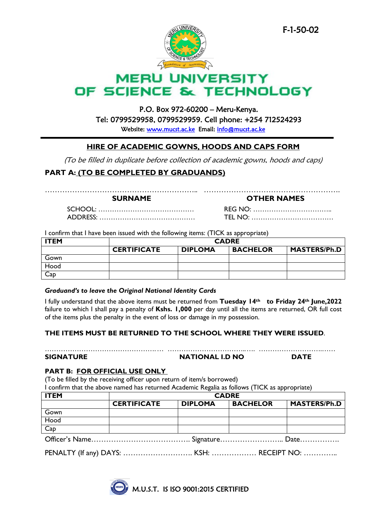

# **MERU UNIVERSITY** OF SCIENCE & TECHNOLOGY

# P.O. Box 972-60200 – Meru-Kenya. Tel: 0799529958, 0799529959. Cell phone: +254 712524293

Website: [www.mucst.ac.ke](http://www.mucst.ac.ke/) Email: info@mucst.ac.ke

#### I **HIRE OF ACADEMIC GOWNS, HOODS AND CAPS FORM**

(To be filled in duplicate before collection of academic gowns, hoods and caps)

## **PART A: (TO BE COMPLETED BY GRADUANDS)**

…………………………………………………….. ……………………………………………….

**SURNAME OTHER NAMES**

SCHOOL: …………………………………… REG NO: …………………………….. ADDRESS: …………………………………… TEL NO: ………………………………

I confirm that I have been issued with the following items: (TICK as appropriate)

| <b>ITEM</b> | <b>CADRE</b>       |                |                 |                     |  |
|-------------|--------------------|----------------|-----------------|---------------------|--|
|             | <b>CERTIFICATE</b> | <b>DIPLOMA</b> | <b>BACHELOR</b> | <b>MASTERS/Ph.D</b> |  |
| Gown        |                    |                |                 |                     |  |
| Hood        |                    |                |                 |                     |  |
| Cap         |                    |                |                 |                     |  |

#### *Graduand's to leave the Original National Identity Cards*

I fully understand that the above items must be returned from **Tuesday 14th to Friday 24th June,2022** failure to which I shall pay a penalty of **Kshs. 1,000** per day until all the items are returned, OR full cost of the items plus the penalty in the event of loss or damage in my possession.

### **THE ITEMS MUST BE RETURNED TO THE SCHOOL WHERE THEY WERE ISSUED**.

| <b>SIGNATURE</b> | <b>NATIONAL I.D NO</b> | <b>DATE</b> |
|------------------|------------------------|-------------|

#### **PART B: FOR OFFICIAL USE ONLY**

(To be filled by the receiving officer upon return of item/s borrowed) I confirm that the above named has returned Academic Regalia as follows (TICK as appropriate)

| <b>ITEM</b>                                                              | <b>CADRE</b>       |                |                 |                     |  |
|--------------------------------------------------------------------------|--------------------|----------------|-----------------|---------------------|--|
|                                                                          | <b>CERTIFICATE</b> | <b>DIPLOMA</b> | <b>BACHELOR</b> | <b>MASTERS/Ph.D</b> |  |
| Gown                                                                     |                    |                |                 |                     |  |
| $\begin{array}{ c } \hline \text{Hood} \\ \hline \text{Cap} \end{array}$ |                    |                |                 |                     |  |
|                                                                          |                    |                |                 |                     |  |
|                                                                          |                    |                |                 |                     |  |
|                                                                          |                    |                |                 |                     |  |